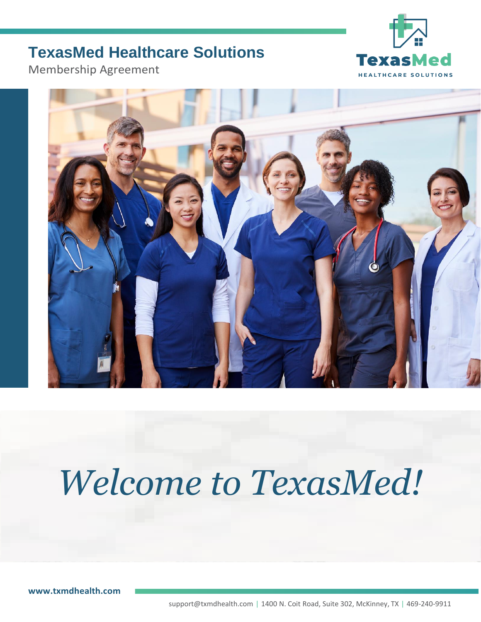# **TexasMed Healthcare Solutions**



Membership Agreement



# **Welcome to TexasMed!**

**[www.txmdhealth.com](http://www.txmdhealth.com/)**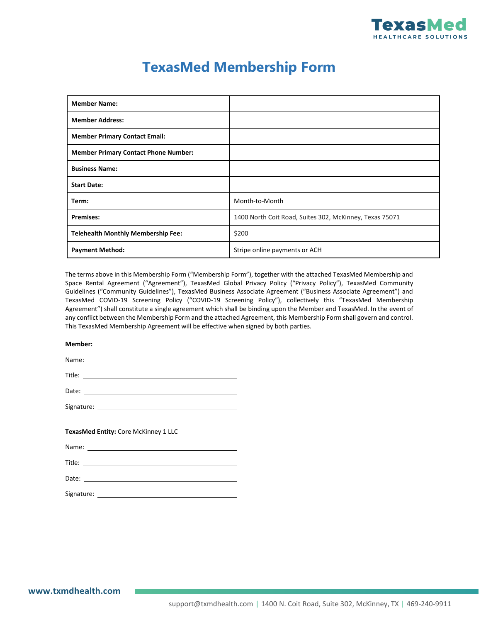

## **TexasMed Membership Form**

| <b>Member Name:</b>                         |                                                         |
|---------------------------------------------|---------------------------------------------------------|
| <b>Member Address:</b>                      |                                                         |
| <b>Member Primary Contact Email:</b>        |                                                         |
| <b>Member Primary Contact Phone Number:</b> |                                                         |
| <b>Business Name:</b>                       |                                                         |
| <b>Start Date:</b>                          |                                                         |
| Term:                                       | Month-to-Month                                          |
| <b>Premises:</b>                            | 1400 North Coit Road, Suites 302, McKinney, Texas 75071 |
| <b>Telehealth Monthly Membership Fee:</b>   | \$200                                                   |
| <b>Payment Method:</b>                      | Stripe online payments or ACH                           |

The terms above in this Membership Form ("Membership Form"), together with the attached TexasMed Membership and Space Rental Agreement ("Agreement"), TexasMed Global Privacy Policy ("Privacy Policy"), TexasMed Community Guidelines ("Community Guidelines"), TexasMed Business Associate Agreement ("Business Associate Agreement") and TexasMed COVID-19 Screening Policy ("COVID-19 Screening Policy"), collectively this "TexasMed Membership Agreement") shall constitute a single agreement which shall be binding upon the Member and TexasMed. In the event of any conflict between the Membership Form and the attached Agreement, this Membership Form shall govern and control. This TexasMed Membership Agreement will be effective when signed by both parties.

#### **Member:**

| Name:  |  |  |
|--------|--|--|
|        |  |  |
| Title: |  |  |
| Date:  |  |  |

Signature: \_

#### **TexasMed Entity:** Core McKinney 1 LLC

| Name:<br>$\sim$ $\sim$ |  |
|------------------------|--|
|                        |  |

Title:

Date:

Signature: contract to the set of the set of the set of the set of the set of the set of the set of the set of the set of the set of the set of the set of the set of the set of the set of the set of the set of the set of t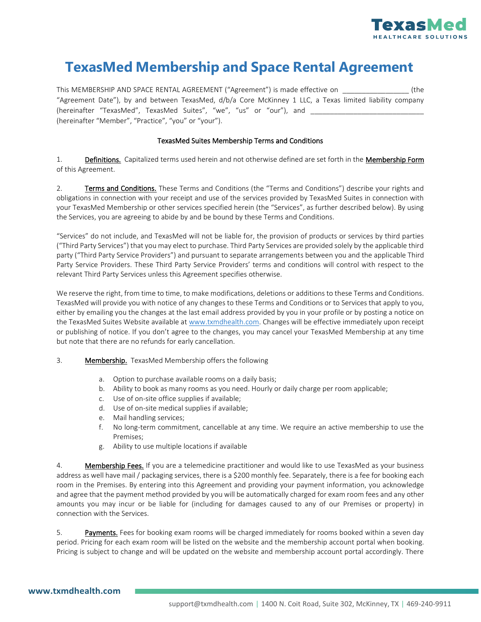

## **TexasMed Membership and Space Rental Agreement**

This MEMBERSHIP AND SPACE RENTAL AGREEMENT ("Agreement") is made effective on \_\_\_\_\_\_\_\_\_\_\_\_\_\_\_\_\_ (the "Agreement Date"), by and between TexasMed, d/b/a Core McKinney 1 LLC, a Texas limited liability company (hereinafter "TexasMed", TexasMed Suites", "we", "us" or "our"), and \_\_\_\_\_\_\_\_\_\_\_ (hereinafter "Member", "Practice", "you" or "your").

#### TexasMed Suites Membership Terms and Conditions

1. Definitions. Capitalized terms used herein and not otherwise defined are set forth in the Membership Form of this Agreement.

2. **Terms and Conditions.** These Terms and Conditions (the "Terms and Conditions") describe your rights and obligations in connection with your receipt and use of the services provided by TexasMed Suites in connection with your TexasMed Membership or other services specified herein (the "Services", as further described below). By using the Services, you are agreeing to abide by and be bound by these Terms and Conditions.

"Services" do not include, and TexasMed will not be liable for, the provision of products or services by third parties ("Third Party Services") that you may elect to purchase. Third Party Services are provided solely by the applicable third party ("Third Party Service Providers") and pursuant to separate arrangements between you and the applicable Third Party Service Providers. These Third Party Service Providers' terms and conditions will control with respect to the relevant Third Party Services unless this Agreement specifies otherwise.

We reserve the right, from time to time, to make modifications, deletions or additions to these Terms and Conditions. TexasMed will provide you with notice of any changes to these Terms and Conditions or to Services that apply to you, either by emailing you the changes at the last email address provided by you in your profile or by posting a notice on the TexasMed Suites Website available a[t www.txmdhealth.com.](http://www.txmdhealth.com/) Changes will be effective immediately upon receipt or publishing of notice. If you don't agree to the changes, you may cancel your TexasMed Membership at any time but note that there are no refunds for early cancellation.

#### 3. Membership. TexasMed Membership offers the following

- a. Option to purchase available rooms on a daily basis;
- b. Ability to book as many rooms as you need. Hourly or daily charge per room applicable;
- c. Use of on-site office supplies if available;
- d. Use of on-site medical supplies if available;
- e. Mail handling services;
- f. No long-term commitment, cancellable at any time. We require an active membership to use the Premises;
- g. Ability to use multiple locations if available

4. Membership Fees. If you are a telemedicine practitioner and would like to use TexasMed as your business address as well have mail / packaging services, there is a \$200 monthly fee. Separately, there is a fee for booking each room in the Premises. By entering into this Agreement and providing your payment information, you acknowledge and agree that the payment method provided by you will be automatically charged for exam room fees and any other amounts you may incur or be liable for (including for damages caused to any of our Premises or property) in connection with the Services.

5. **Payments.** Fees for booking exam rooms will be charged immediately for rooms booked within a seven day period. Pricing for each exam room will be listed on the website and the membership account portal when booking. Pricing is subject to change and will be updated on the website and membership account portal accordingly. There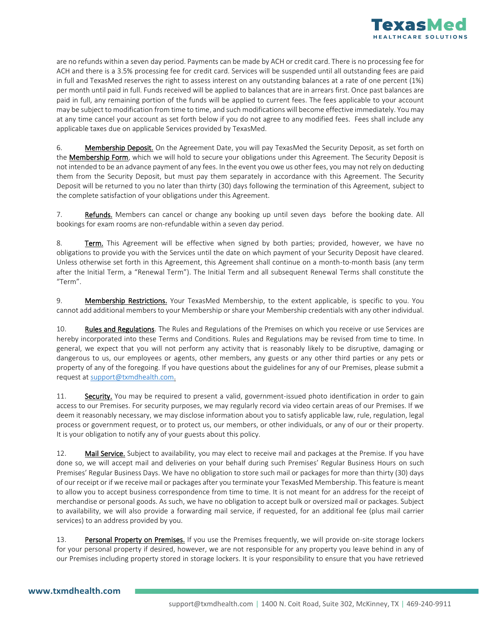

are no refunds within a seven day period. Payments can be made by ACH or credit card. There is no processing fee for ACH and there is a 3.5% processing fee for credit card. Services will be suspended until all outstanding fees are paid in full and TexasMed reserves the right to assess interest on any outstanding balances at a rate of one percent (1%) per month until paid in full. Funds received will be applied to balances that are in arrears first. Once past balances are paid in full, any remaining portion of the funds will be applied to current fees. The fees applicable to your account may be subject to modification from time to time, and such modifications will become effective immediately. You may at any time cancel your account as set forth below if you do not agree to any modified fees. Fees shall include any applicable taxes due on applicable Services provided by TexasMed.

6. Membership Deposit. On the Agreement Date, you will pay TexasMed the Security Deposit, as set forth on the **Membership Form**, which we will hold to secure your obligations under this Agreement. The Security Deposit is not intended to be an advance payment of any fees. In the event you owe us other fees, you may not rely on deducting them from the Security Deposit, but must pay them separately in accordance with this Agreement. The Security Deposit will be returned to you no later than thirty (30) days following the termination of this Agreement, subject to the complete satisfaction of your obligations under this Agreement.

7. Refunds. Members can cancel or change any booking up until seven days before the booking date. All bookings for exam rooms are non-refundable within a seven day period.

8. Term. This Agreement will be effective when signed by both parties; provided, however, we have no obligations to provide you with the Services until the date on which payment of your Security Deposit have cleared. Unless otherwise set forth in this Agreement, this Agreement shall continue on a month-to-month basis (any term after the Initial Term, a "Renewal Term"). The Initial Term and all subsequent Renewal Terms shall constitute the "Term".

9. **Membership Restrictions.** Your TexasMed Membership, to the extent applicable, is specific to you. You cannot add additional members to your Membership or share your Membership credentials with any other individual.

10. Rules and Regulations. The Rules and Regulations of the Premises on which you receive or use Services are hereby incorporated into these Terms and Conditions. Rules and Regulations may be revised from time to time. In general, we expect that you will not perform any activity that is reasonably likely to be disruptive, damaging or dangerous to us, our employees or agents, other members, any guests or any other third parties or any pets or property of any of the foregoing. If you have questions about the guidelines for any of our Premises, please submit a request a[t support@txmdhealth.com.](mailto:support@txmdhealth.com)

11. Security. You may be required to present a valid, government-issued photo identification in order to gain access to our Premises. For security purposes, we may regularly record via video certain areas of our Premises. If we deem it reasonably necessary, we may disclose information about you to satisfy applicable law, rule, regulation, legal process or government request, or to protect us, our members, or other individuals, or any of our or their property. It is your obligation to notify any of your guests about this policy.

12. Mail Service. Subject to availability, you may elect to receive mail and packages at the Premise. If you have done so, we will accept mail and deliveries on your behalf during such Premises' Regular Business Hours on such Premises' Regular Business Days. We have no obligation to store such mail or packages for more than thirty (30) days of our receipt or if we receive mail or packages after you terminate your TexasMed Membership. This feature is meant to allow you to accept business correspondence from time to time. It is not meant for an address for the receipt of merchandise or personal goods. As such, we have no obligation to accept bulk or oversized mail or packages. Subject to availability, we will also provide a forwarding mail service, if requested, for an additional fee (plus mail carrier services) to an address provided by you.

13. Personal Property on Premises. If you use the Premises frequently, we will provide on-site storage lockers for your personal property if desired, however, we are not responsible for any property you leave behind in any of our Premises including property stored in storage lockers. It is your responsibility to ensure that you have retrieved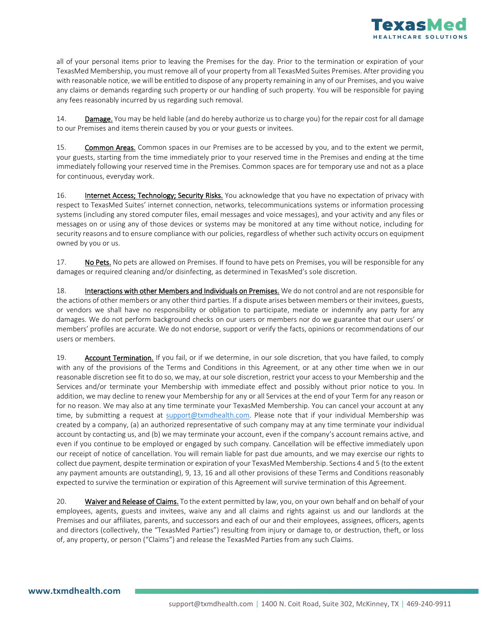

all of your personal items prior to leaving the Premises for the day. Prior to the termination or expiration of your TexasMed Membership, you must remove all of your property from all TexasMed Suites Premises. After providing you with reasonable notice, we will be entitled to dispose of any property remaining in any of our Premises, and you waive any claims or demands regarding such property or our handling of such property. You will be responsible for paying any fees reasonably incurred by us regarding such removal.

14. Damage. You may be held liable (and do hereby authorize us to charge you) for the repair cost for all damage to our Premises and items therein caused by you or your guests or invitees.

15. Common Areas. Common spaces in our Premises are to be accessed by you, and to the extent we permit, your guests, starting from the time immediately prior to your reserved time in the Premises and ending at the time immediately following your reserved time in the Premises. Common spaces are for temporary use and not as a place for continuous, everyday work.

16. **Internet Access; Technology; Security Risks.** You acknowledge that you have no expectation of privacy with respect to TexasMed Suites' internet connection, networks, telecommunications systems or information processing systems (including any stored computer files, email messages and voice messages), and your activity and any files or messages on or using any of those devices or systems may be monitored at any time without notice, including for security reasons and to ensure compliance with our policies, regardless of whether such activity occurs on equipment owned by you or us.

17. No Pets. No pets are allowed on Premises. If found to have pets on Premises, you will be responsible for any damages or required cleaning and/or disinfecting, as determined in TexasMed's sole discretion.

18. Interactions with other Members and Individuals on Premises. We do not control and are not responsible for the actions of other members or any other third parties. If a dispute arises between members or their invitees, guests, or vendors we shall have no responsibility or obligation to participate, mediate or indemnify any party for any damages. We do not perform background checks on our users or members nor do we guarantee that our users' or members' profiles are accurate. We do not endorse, support or verify the facts, opinions or recommendations of our users or members.

19. Account Termination. If you fail, or if we determine, in our sole discretion, that you have failed, to comply with any of the provisions of the Terms and Conditions in this Agreement, or at any other time when we in our reasonable discretion see fit to do so, we may, at our sole discretion, restrict your access to your Membership and the Services and/or terminate your Membership with immediate effect and possibly without prior notice to you. In addition, we may decline to renew your Membership for any or all Services at the end of your Term for any reason or for no reason. We may also at any time terminate your TexasMed Membership. You can cancel your account at any time, by submitting a request at [support@txmdhealth.com.](mailto:support@txmdhealth.com) Please note that if your individual Membership was created by a company, (a) an authorized representative of such company may at any time terminate your individual account by contacting us, and (b) we may terminate your account, even if the company's account remains active, and even if you continue to be employed or engaged by such company. Cancellation will be effective immediately upon our receipt of notice of cancellation. You will remain liable for past due amounts, and we may exercise our rights to collect due payment, despite termination or expiration of your TexasMed Membership. Sections 4 and 5 (to the extent any payment amounts are outstanding), 9, 13, 16 and all other provisions of these Terms and Conditions reasonably expected to survive the termination or expiration of this Agreement will survive termination of this Agreement.

20. Waiver and Release of Claims. To the extent permitted by law, you, on your own behalf and on behalf of your employees, agents, guests and invitees, waive any and all claims and rights against us and our landlords at the Premises and our affiliates, parents, and successors and each of our and their employees, assignees, officers, agents and directors (collectively, the "TexasMed Parties") resulting from injury or damage to, or destruction, theft, or loss of, any property, or person ("Claims") and release the TexasMed Parties from any such Claims.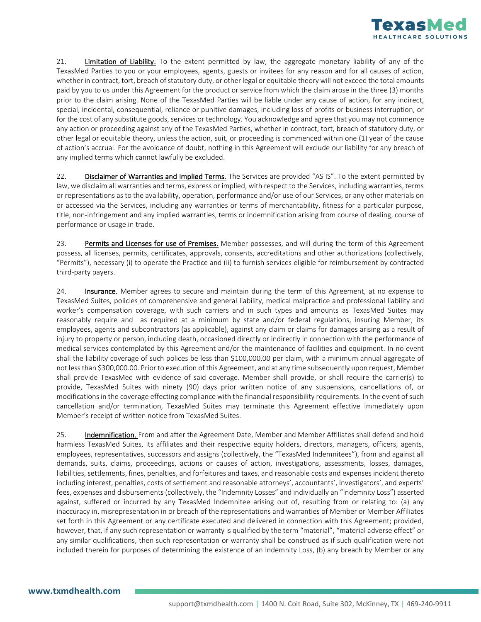

21. Limitation of Liability. To the extent permitted by law, the aggregate monetary liability of any of the TexasMed Parties to you or your employees, agents, guests or invitees for any reason and for all causes of action, whether in contract, tort, breach of statutory duty, or other legal or equitable theory will not exceed the total amounts paid by you to us under this Agreement for the product or service from which the claim arose in the three (3) months prior to the claim arising. None of the TexasMed Parties will be liable under any cause of action, for any indirect, special, incidental, consequential, reliance or punitive damages, including loss of profits or business interruption, or for the cost of any substitute goods, services or technology. You acknowledge and agree that you may not commence any action or proceeding against any of the TexasMed Parties, whether in contract, tort, breach of statutory duty, or other legal or equitable theory, unless the action, suit, or proceeding is commenced within one (1) year of the cause of action's accrual. For the avoidance of doubt, nothing in this Agreement will exclude our liability for any breach of any implied terms which cannot lawfully be excluded.

22. Disclaimer of Warranties and Implied Terms. The Services are provided "AS IS". To the extent permitted by law, we disclaim all warranties and terms, express or implied, with respect to the Services, including warranties, terms or representations as to the availability, operation, performance and/or use of our Services, or any other materials on or accessed via the Services, including any warranties or terms of merchantability, fitness for a particular purpose, title, non-infringement and any implied warranties, terms or indemnification arising from course of dealing, course of performance or usage in trade.

23. Permits and Licenses for use of Premises. Member possesses, and will during the term of this Agreement possess, all licenses, permits, certificates, approvals, consents, accreditations and other authorizations (collectively, "Permits"), necessary (i) to operate the Practice and (ii) to furnish services eligible for reimbursement by contracted third-party payers.

24. **Insurance.** Member agrees to secure and maintain during the term of this Agreement, at no expense to TexasMed Suites, policies of comprehensive and general liability, medical malpractice and professional liability and worker's compensation coverage, with such carriers and in such types and amounts as TexasMed Suites may reasonably require and as required at a minimum by state and/or federal regulations, insuring Member, its employees, agents and subcontractors (as applicable), against any claim or claims for damages arising as a result of injury to property or person, including death, occasioned directly or indirectly in connection with the performance of medical services contemplated by this Agreement and/or the maintenance of facilities and equipment. In no event shall the liability coverage of such polices be less than \$100,000.00 per claim, with a minimum annual aggregate of not less than \$300,000.00. Prior to execution of this Agreement, and at any time subsequently upon request, Member shall provide TexasMed with evidence of said coverage. Member shall provide, or shall require the carrier(s) to provide, TexasMed Suites with ninety (90) days prior written notice of any suspensions, cancellations of, or modifications in the coverage effecting compliance with the financial responsibility requirements. In the event of such cancellation and/or termination, TexasMed Suites may terminate this Agreement effective immediately upon Member's receipt of written notice from TexasMed Suites.

25. **Indemnification.** From and after the Agreement Date, Member and Member Affiliates shall defend and hold harmless TexasMed Suites, its affiliates and their respective equity holders, directors, managers, officers, agents, employees, representatives, successors and assigns (collectively, the "TexasMed Indemnitees"), from and against all demands, suits, claims, proceedings, actions or causes of action, investigations, assessments, losses, damages, liabilities, settlements, fines, penalties, and forfeitures and taxes, and reasonable costs and expenses incident thereto including interest, penalties, costs of settlement and reasonable attorneys', accountants', investigators', and experts' fees, expenses and disbursements (collectively, the "Indemnity Losses" and individually an "Indemnity Loss") asserted against, suffered or incurred by any TexasMed Indemnitee arising out of, resulting from or relating to: (a) any inaccuracy in, misrepresentation in or breach of the representations and warranties of Member or Member Affiliates set forth in this Agreement or any certificate executed and delivered in connection with this Agreement; provided, however, that, if any such representation or warranty is qualified by the term "material", "material adverse effect" or any similar qualifications, then such representation or warranty shall be construed as if such qualification were not included therein for purposes of determining the existence of an Indemnity Loss, (b) any breach by Member or any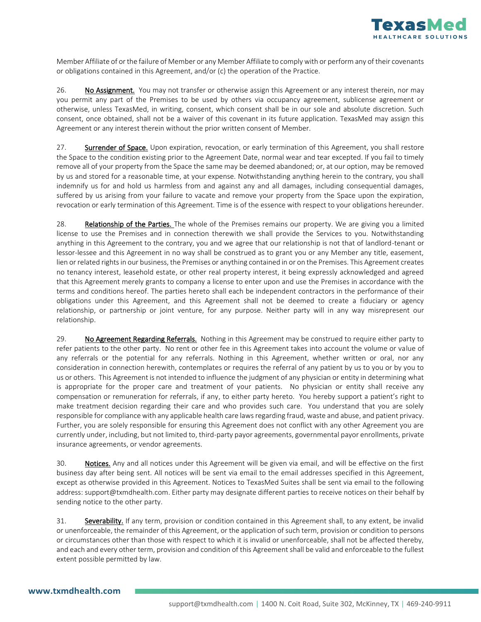

Member Affiliate of or the failure of Member or any Member Affiliate to comply with or perform any of their covenants or obligations contained in this Agreement, and/or (c) the operation of the Practice.

26. No Assignment. You may not transfer or otherwise assign this Agreement or any interest therein, nor may you permit any part of the Premises to be used by others via occupancy agreement, sublicense agreement or otherwise, unless TexasMed, in writing, consent, which consent shall be in our sole and absolute discretion. Such consent, once obtained, shall not be a waiver of this covenant in its future application. TexasMed may assign this Agreement or any interest therein without the prior written consent of Member.

27. Surrender of Space. Upon expiration, revocation, or early termination of this Agreement, you shall restore the Space to the condition existing prior to the Agreement Date, normal wear and tear excepted. If you fail to timely remove all of your property from the Space the same may be deemed abandoned; or, at our option, may be removed by us and stored for a reasonable time, at your expense. Notwithstanding anything herein to the contrary, you shall indemnify us for and hold us harmless from and against any and all damages, including consequential damages, suffered by us arising from your failure to vacate and remove your property from the Space upon the expiration, revocation or early termination of this Agreement. Time is of the essence with respect to your obligations hereunder.

28. Relationship of the Parties. The whole of the Premises remains our property. We are giving you a limited license to use the Premises and in connection therewith we shall provide the Services to you. Notwithstanding anything in this Agreement to the contrary, you and we agree that our relationship is not that of landlord-tenant or lessor-lessee and this Agreement in no way shall be construed as to grant you or any Member any title, easement, lien or related rights in our business, the Premises or anything contained in or on the Premises. This Agreement creates no tenancy interest, leasehold estate, or other real property interest, it being expressly acknowledged and agreed that this Agreement merely grants to company a license to enter upon and use the Premises in accordance with the terms and conditions hereof. The parties hereto shall each be independent contractors in the performance of their obligations under this Agreement, and this Agreement shall not be deemed to create a fiduciary or agency relationship, or partnership or joint venture, for any purpose. Neither party will in any way misrepresent our relationship.

29. No Agreement Regarding Referrals. Nothing in this Agreement may be construed to require either party to refer patients to the other party. No rent or other fee in this Agreement takes into account the volume or value of any referrals or the potential for any referrals. Nothing in this Agreement, whether written or oral, nor any consideration in connection herewith, contemplates or requires the referral of any patient by us to you or by you to us or others. This Agreement is not intended to influence the judgment of any physician or entity in determining what is appropriate for the proper care and treatment of your patients. No physician or entity shall receive any compensation or remuneration for referrals, if any, to either party hereto. You hereby support a patient's right to make treatment decision regarding their care and who provides such care. You understand that you are solely responsible for compliance with any applicable health care laws regarding fraud, waste and abuse, and patient privacy. Further, you are solely responsible for ensuring this Agreement does not conflict with any other Agreement you are currently under, including, but not limited to, third-party payor agreements, governmental payor enrollments, private insurance agreements, or vendor agreements.

30. Notices. Any and all notices under this Agreement will be given via email, and will be effective on the first business day after being sent. All notices will be sent via email to the email addresses specified in this Agreement, except as otherwise provided in this Agreement. Notices to TexasMed Suites shall be sent via email to the following address: support@txmdhealth.com. Either party may designate different parties to receive notices on their behalf by sending notice to the other party.

31. Severability. If any term, provision or condition contained in this Agreement shall, to any extent, be invalid or unenforceable, the remainder of this Agreement, or the application of such term, provision or condition to persons or circumstances other than those with respect to which it is invalid or unenforceable, shall not be affected thereby, and each and every other term, provision and condition of this Agreement shall be valid and enforceable to the fullest extent possible permitted by law.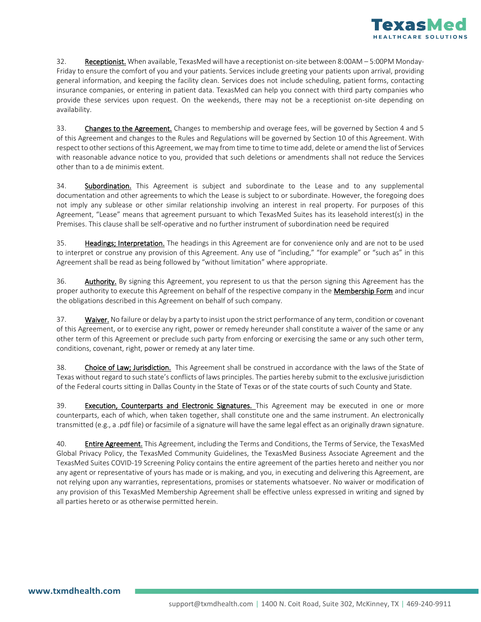

32. Receptionist. When available, TexasMed will have a receptionist on-site between 8:00AM – 5:00PM Monday-Friday to ensure the comfort of you and your patients. Services include greeting your patients upon arrival, providing general information, and keeping the facility clean. Services does not include scheduling, patient forms, contacting insurance companies, or entering in patient data. TexasMed can help you connect with third party companies who provide these services upon request. On the weekends, there may not be a receptionist on-site depending on availability.

33. Changes to the Agreement. Changes to membership and overage fees, will be governed by Section 4 and 5 of this Agreement and changes to the Rules and Regulations will be governed by Section 10 of this Agreement. With respect to other sections of this Agreement, we may from time to time to time add, delete or amend the list of Services with reasonable advance notice to you, provided that such deletions or amendments shall not reduce the Services other than to a de minimis extent.

34. Subordination. This Agreement is subject and subordinate to the Lease and to any supplemental documentation and other agreements to which the Lease is subject to or subordinate. However, the foregoing does not imply any sublease or other similar relationship involving an interest in real property. For purposes of this Agreement, "Lease" means that agreement pursuant to which TexasMed Suites has its leasehold interest(s) in the Premises. This clause shall be self-operative and no further instrument of subordination need be required

35. Headings; Interpretation. The headings in this Agreement are for convenience only and are not to be used to interpret or construe any provision of this Agreement. Any use of "including," "for example" or "such as" in this Agreement shall be read as being followed by "without limitation" where appropriate.

36. Authority. By signing this Agreement, you represent to us that the person signing this Agreement has the proper authority to execute this Agreement on behalf of the respective company in the Membership Form and incur the obligations described in this Agreement on behalf of such company.

37. Waiver. No failure or delay by a party to insist upon the strict performance of any term, condition or covenant of this Agreement, or to exercise any right, power or remedy hereunder shall constitute a waiver of the same or any other term of this Agreement or preclude such party from enforcing or exercising the same or any such other term, conditions, covenant, right, power or remedy at any later time.

38. Choice of Law; Jurisdiction. This Agreement shall be construed in accordance with the laws of the State of Texas without regard to such state's conflicts of laws principles. The parties hereby submit to the exclusive jurisdiction of the Federal courts sitting in Dallas County in the State of Texas or of the state courts of such County and State.

39. Execution, Counterparts and Electronic Signatures. This Agreement may be executed in one or more counterparts, each of which, when taken together, shall constitute one and the same instrument. An electronically transmitted (e.g., a .pdf file) or facsimile of a signature will have the same legal effect as an originally drawn signature.

40. **Entire Agreement**. This Agreement, including the Terms and Conditions, the Terms of Service, the TexasMed Global Privacy Policy, the TexasMed Community Guidelines, the TexasMed Business Associate Agreement and the TexasMed Suites COVID-19 Screening Policy contains the entire agreement of the parties hereto and neither you nor any agent or representative of yours has made or is making, and you, in executing and delivering this Agreement, are not relying upon any warranties, representations, promises or statements whatsoever. No waiver or modification of any provision of this TexasMed Membership Agreement shall be effective unless expressed in writing and signed by all parties hereto or as otherwise permitted herein.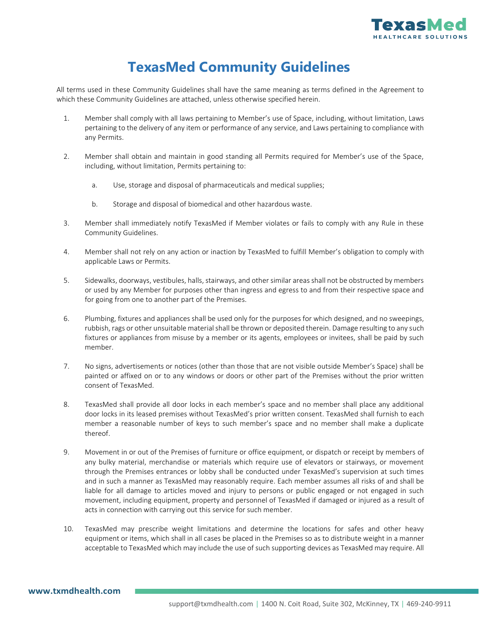

# **TexasMed Community Guidelines**

All terms used in these Community Guidelines shall have the same meaning as terms defined in the Agreement to which these Community Guidelines are attached, unless otherwise specified herein.

- 1. Member shall comply with all laws pertaining to Member's use of Space, including, without limitation, Laws pertaining to the delivery of any item or performance of any service, and Laws pertaining to compliance with any Permits.
- 2. Member shall obtain and maintain in good standing all Permits required for Member's use of the Space, including, without limitation, Permits pertaining to:
	- a. Use, storage and disposal of pharmaceuticals and medical supplies;
	- b. Storage and disposal of biomedical and other hazardous waste.
- 3. Member shall immediately notify TexasMed if Member violates or fails to comply with any Rule in these Community Guidelines.
- 4. Member shall not rely on any action or inaction by TexasMed to fulfill Member's obligation to comply with applicable Laws or Permits.
- 5. Sidewalks, doorways, vestibules, halls, stairways, and other similar areas shall not be obstructed by members or used by any Member for purposes other than ingress and egress to and from their respective space and for going from one to another part of the Premises.
- 6. Plumbing, fixtures and appliances shall be used only for the purposes for which designed, and no sweepings, rubbish, rags or other unsuitable material shall be thrown or deposited therein. Damage resulting to any such fixtures or appliances from misuse by a member or its agents, employees or invitees, shall be paid by such member.
- 7. No signs, advertisements or notices (other than those that are not visible outside Member's Space) shall be painted or affixed on or to any windows or doors or other part of the Premises without the prior written consent of TexasMed.
- 8. TexasMed shall provide all door locks in each member's space and no member shall place any additional door locks in its leased premises without TexasMed's prior written consent. TexasMed shall furnish to each member a reasonable number of keys to such member's space and no member shall make a duplicate thereof.
- 9. Movement in or out of the Premises of furniture or office equipment, or dispatch or receipt by members of any bulky material, merchandise or materials which require use of elevators or stairways, or movement through the Premises entrances or lobby shall be conducted under TexasMed's supervision at such times and in such a manner as TexasMed may reasonably require. Each member assumes all risks of and shall be liable for all damage to articles moved and injury to persons or public engaged or not engaged in such movement, including equipment, property and personnel of TexasMed if damaged or injured as a result of acts in connection with carrying out this service for such member.
- 10. TexasMed may prescribe weight limitations and determine the locations for safes and other heavy equipment or items, which shall in all cases be placed in the Premises so as to distribute weight in a manner acceptable to TexasMed which may include the use of such supporting devices as TexasMed may require. All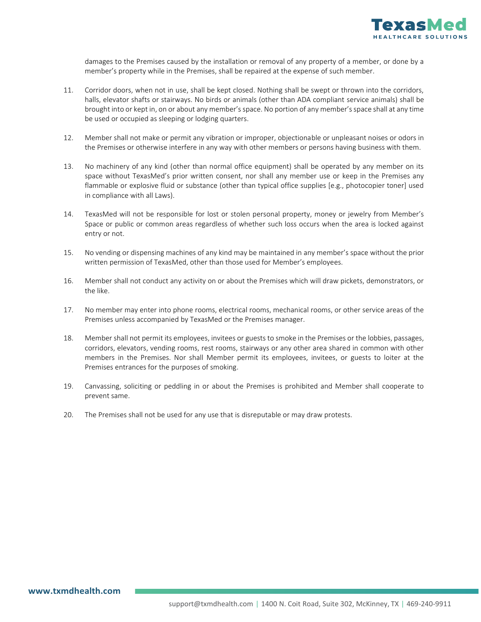

damages to the Premises caused by the installation or removal of any property of a member, or done by a member's property while in the Premises, shall be repaired at the expense of such member.

- 11. Corridor doors, when not in use, shall be kept closed. Nothing shall be swept or thrown into the corridors, halls, elevator shafts or stairways. No birds or animals (other than ADA compliant service animals) shall be brought into or kept in, on or about any member's space. No portion of any member's space shall at any time be used or occupied as sleeping or lodging quarters.
- 12. Member shall not make or permit any vibration or improper, objectionable or unpleasant noises or odors in the Premises or otherwise interfere in any way with other members or persons having business with them.
- 13. No machinery of any kind (other than normal office equipment) shall be operated by any member on its space without TexasMed's prior written consent, nor shall any member use or keep in the Premises any flammable or explosive fluid or substance (other than typical office supplies [e.g., photocopier toner] used in compliance with all Laws).
- 14. TexasMed will not be responsible for lost or stolen personal property, money or jewelry from Member's Space or public or common areas regardless of whether such loss occurs when the area is locked against entry or not.
- 15. No vending or dispensing machines of any kind may be maintained in any member's space without the prior written permission of TexasMed, other than those used for Member's employees.
- 16. Member shall not conduct any activity on or about the Premises which will draw pickets, demonstrators, or the like.
- 17. No member may enter into phone rooms, electrical rooms, mechanical rooms, or other service areas of the Premises unless accompanied by TexasMed or the Premises manager.
- 18. Member shall not permit its employees, invitees or guests to smoke in the Premises or the lobbies, passages, corridors, elevators, vending rooms, rest rooms, stairways or any other area shared in common with other members in the Premises. Nor shall Member permit its employees, invitees, or guests to loiter at the Premises entrances for the purposes of smoking.
- 19. Canvassing, soliciting or peddling in or about the Premises is prohibited and Member shall cooperate to prevent same.
- 20. The Premises shall not be used for any use that is disreputable or may draw protests.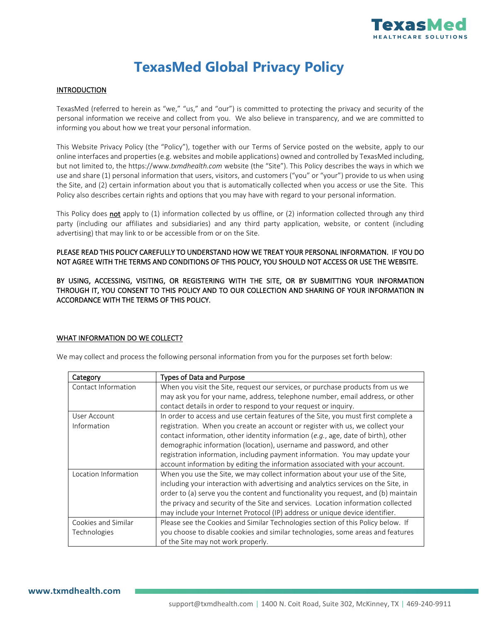

# **TexasMed Global Privacy Policy**

#### **INTRODUCTION**

TexasMed (referred to herein as "we," "us," and "our") is committed to protecting the privacy and security of the personal information we receive and collect from you. We also believe in transparency, and we are committed to informing you about how we treat your personal information.

This Website Privacy Policy (the "Policy"), together with our Terms of Service posted on the website, apply to our online interfaces and properties (e.g. websites and mobile applications) owned and controlled by TexasMed including, but not limited to, the https://www.*txmdhealth.com* website (the "Site"). This Policy describes the ways in which we use and share (1) personal information that users, visitors, and customers ("you" or "your") provide to us when using the Site, and (2) certain information about you that is automatically collected when you access or use the Site. This Policy also describes certain rights and options that you may have with regard to your personal information.

This Policy does not apply to (1) information collected by us offline, or (2) information collected through any third party (including our affiliates and subsidiaries) and any third party application, website, or content (including advertising) that may link to or be accessible from or on the Site.

PLEASE READ THIS POLICY CAREFULLY TO UNDERSTAND HOW WE TREAT YOUR PERSONAL INFORMATION. IF YOU DO NOT AGREE WITH THE TERMS AND CONDITIONS OF THIS POLICY, YOU SHOULD NOT ACCESS OR USE THE WEBSITE.

BY USING, ACCESSING, VISITING, OR REGISTERING WITH THE SITE, OR BY SUBMITTING YOUR INFORMATION THROUGH IT, YOU CONSENT TO THIS POLICY AND TO OUR COLLECTION AND SHARING OF YOUR INFORMATION IN ACCORDANCE WITH THE TERMS OF THIS POLICY.

#### WHAT INFORMATION DO WE COLLECT?

We may collect and process the following personal information from you for the purposes set forth below:

| Category             | <b>Types of Data and Purpose</b>                                                   |
|----------------------|------------------------------------------------------------------------------------|
| Contact Information  | When you visit the Site, request our services, or purchase products from us we     |
|                      | may ask you for your name, address, telephone number, email address, or other      |
|                      | contact details in order to respond to your request or inquiry.                    |
| User Account         | In order to access and use certain features of the Site, you must first complete a |
| Information          | registration. When you create an account or register with us, we collect your      |
|                      | contact information, other identity information (e.g., age, date of birth), other  |
|                      | demographic information (location), username and password, and other               |
|                      | registration information, including payment information. You may update your       |
|                      | account information by editing the information associated with your account.       |
| Location Information | When you use the Site, we may collect information about your use of the Site,      |
|                      | including your interaction with advertising and analytics services on the Site, in |
|                      | order to (a) serve you the content and functionality you request, and (b) maintain |
|                      | the privacy and security of the Site and services. Location information collected  |
|                      | may include your Internet Protocol (IP) address or unique device identifier.       |
| Cookies and Similar  | Please see the Cookies and Similar Technologies section of this Policy below. If   |
| Technologies         | you choose to disable cookies and similar technologies, some areas and features    |
|                      | of the Site may not work properly.                                                 |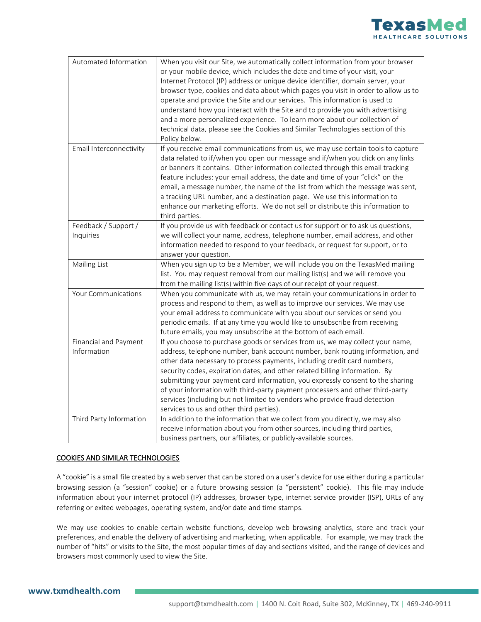

| Automated Information                | When you visit our Site, we automatically collect information from your browser<br>or your mobile device, which includes the date and time of your visit, your<br>Internet Protocol (IP) address or unique device identifier, domain server, your<br>browser type, cookies and data about which pages you visit in order to allow us to<br>operate and provide the Site and our services. This information is used to<br>understand how you interact with the Site and to provide you with advertising<br>and a more personalized experience. To learn more about our collection of<br>technical data, please see the Cookies and Similar Technologies section of this<br>Policy below. |
|--------------------------------------|-----------------------------------------------------------------------------------------------------------------------------------------------------------------------------------------------------------------------------------------------------------------------------------------------------------------------------------------------------------------------------------------------------------------------------------------------------------------------------------------------------------------------------------------------------------------------------------------------------------------------------------------------------------------------------------------|
| Email Interconnectivity              | If you receive email communications from us, we may use certain tools to capture<br>data related to if/when you open our message and if/when you click on any links<br>or banners it contains. Other information collected through this email tracking<br>feature includes: your email address, the date and time of your "click" on the<br>email, a message number, the name of the list from which the message was sent,<br>a tracking URL number, and a destination page. We use this information to<br>enhance our marketing efforts. We do not sell or distribute this information to<br>third parties.                                                                            |
| Feedback / Support /<br>Inquiries    | If you provide us with feedback or contact us for support or to ask us questions,<br>we will collect your name, address, telephone number, email address, and other<br>information needed to respond to your feedback, or request for support, or to<br>answer your question.                                                                                                                                                                                                                                                                                                                                                                                                           |
| Mailing List                         | When you sign up to be a Member, we will include you on the TexasMed mailing<br>list. You may request removal from our mailing list(s) and we will remove you<br>from the mailing list(s) within five days of our receipt of your request.                                                                                                                                                                                                                                                                                                                                                                                                                                              |
| Your Communications                  | When you communicate with us, we may retain your communications in order to<br>process and respond to them, as well as to improve our services. We may use<br>your email address to communicate with you about our services or send you<br>periodic emails. If at any time you would like to unsubscribe from receiving<br>future emails, you may unsubscribe at the bottom of each email.                                                                                                                                                                                                                                                                                              |
| Financial and Payment<br>Information | If you choose to purchase goods or services from us, we may collect your name,<br>address, telephone number, bank account number, bank routing information, and<br>other data necessary to process payments, including credit card numbers,<br>security codes, expiration dates, and other related billing information. By<br>submitting your payment card information, you expressly consent to the sharing<br>of your information with third-party payment processers and other third-party<br>services (including but not limited to vendors who provide fraud detection<br>services to us and other third parties).                                                                 |
| Third Party Information              | In addition to the information that we collect from you directly, we may also<br>receive information about you from other sources, including third parties,<br>business partners, our affiliates, or publicly-available sources.                                                                                                                                                                                                                                                                                                                                                                                                                                                        |

#### COOKIES AND SIMILAR TECHNOLOGIES

A "cookie" is a small file created by a web server that can be stored on a user's device for use either during a particular browsing session (a "session" cookie) or a future browsing session (a "persistent" cookie). This file may include information about your internet protocol (IP) addresses, browser type, internet service provider (ISP), URLs of any referring or exited webpages, operating system, and/or date and time stamps.

We may use cookies to enable certain website functions, develop web browsing analytics, store and track your preferences, and enable the delivery of advertising and marketing, when applicable. For example, we may track the number of "hits" or visits to the Site, the most popular times of day and sections visited, and the range of devices and browsers most commonly used to view the Site.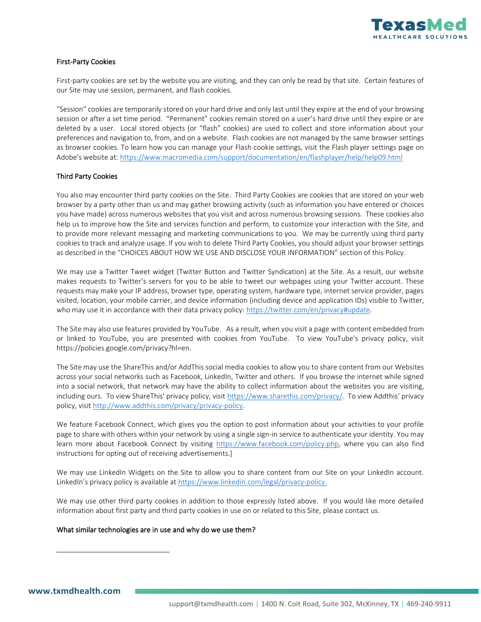

#### First-Party Cookies

First-party cookies are set by the website you are visiting, and they can only be read by that site. Certain features of our Site may use session, permanent, and flash cookies.

"Session" cookies are temporarily stored on your hard drive and only last until they expire at the end of your browsing session or after a set time period. "Permanent" cookies remain stored on a user's hard drive until they expire or are deleted by a user. Local stored objects (or "flash" cookies) are used to collect and store information about your preferences and navigation to, from, and on a website. Flash cookies are not managed by the same browser settings as browser cookies. To learn how you can manage your Flash cookie settings, visit the Flash player settings page on Adobe's website at:<https://www.macromedia.com/support/documentation/en/flashplayer/help/help09.html>

#### Third Party Cookies

You also may encounter third party cookies on the Site. Third Party Cookies are cookies that are stored on your web browser by a party other than us and may gather browsing activity (such as information you have entered or choices you have made) across numerous websites that you visit and across numerous browsing sessions. These cookies also help us to improve how the Site and services function and perform, to customize your interaction with the Site, and to provide more relevant messaging and marketing communications to you. We may be currently using third party cookies to track and analyze usage. If you wish to delete Third Party Cookies, you should adjust your browser settings as described in the "CHOICES ABOUT HOW WE USE AND DISCLOSE YOUR INFORMATION" section of this Policy.

We may use a Twitter Tweet widget (Twitter Button and Twitter Syndication) at the Site. As a result, our website makes requests to Twitter's servers for you to be able to tweet our webpages using your Twitter account. These requests may make your IP address, browser type, operating system, hardware type, internet service provider, pages visited, location, your mobile carrier, and device information (including device and application IDs) visible to Twitter, who may use it in accordance with their data privacy policy[: https://twitter.com/en/privacy#update.](https://twitter.com/en/privacy#update)

The Site may also use features provided by YouTube. As a result, when you visit a page with content embedded from or linked to YouTube, you are presented with cookies from YouTube. To view YouTube's privacy policy, visit https://policies.google.com/privacy?hl=en.

The Site may use the ShareThis and/or AddThis social media cookies to allow you to share content from our Websites across your social networks such as Facebook, LinkedIn, Twitter and others. If you browse the internet while signed into a social network, that network may have the ability to collect information about the websites you are visiting, including ours. To view ShareThis' privacy policy, visit<https://www.sharethis.com/privacy/>. To view Addthis' privacy policy, visi[t http://www.addthis.com/privacy/privacy-policy.](http://www.addthis.com/privacy/privacy-policy)

We feature Facebook Connect, which gives you the option to post information about your activities to your profile page to share with others within your network by using a single sign-in service to authenticate your identity. You may learn more about Facebook Connect by visiting [https://www.facebook.com/policy.php,](https://www.facebook.com/policy.php) where you can also find instructions for opting out of receiving advertisements.]

We may use LinkedIn Widgets on the Site to allow you to share content from our Site on your LinkedIn account. LinkedIn's privacy policy is available at <https://www.linkedin.com/legal/privacy-policy.>

We may use other third party cookies in addition to those expressly listed above. If you would like more detailed information about first party and third party cookies in use on or related to this Site, please contact us.

#### What similar technologies are in use and why do we use them?

**[www.txmdhealth.com](http://www.txmdhealth.com/)**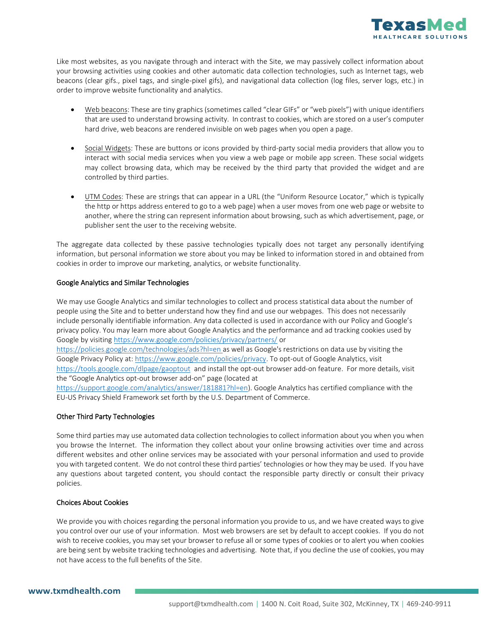

Like most websites, as you navigate through and interact with the Site, we may passively collect information about your browsing activities using cookies and other automatic data collection technologies, such as Internet tags, web beacons (clear gifs., pixel tags, and single-pixel gifs), and navigational data collection (log files, server logs, etc.) in order to improve website functionality and analytics.

- Web beacons: These are tiny graphics (sometimes called "clear GIFs" or "web pixels") with unique identifiers that are used to understand browsing activity. In contrast to cookies, which are stored on a user's computer hard drive, web beacons are rendered invisible on web pages when you open a page.
- Social Widgets: These are buttons or icons provided by third-party social media providers that allow you to interact with social media services when you view a web page or mobile app screen. These social widgets may collect browsing data, which may be received by the third party that provided the widget and are controlled by third parties.
- UTM Codes: These are strings that can appear in a URL (the "Uniform Resource Locator," which is typically the http or https address entered to go to a web page) when a user moves from one web page or website to another, where the string can represent information about browsing, such as which advertisement, page, or publisher sent the user to the receiving website.

The aggregate data collected by these passive technologies typically does not target any personally identifying information, but personal information we store about you may be linked to information stored in and obtained from cookies in order to improve our marketing, analytics, or website functionality.

#### Google Analytics and Similar Technologies

We may use Google Analytics and similar technologies to collect and process statistical data about the number of people using the Site and to better understand how they find and use our webpages. This does not necessarily include personally identifiable information. Any data collected is used in accordance with our Policy and Google's privacy policy. You may learn more about Google Analytics and the performance and ad tracking cookies used by Google by visiting<https://www.google.com/policies/privacy/partners/> or

<https://policies.google.com/technologies/ads?hl=en> as well as Google's restrictions on data use by visiting the Google Privacy Policy at: [https://www.google.com/policies/privacy.](https://www.google.com/policies/privacy) To opt-out of Google Analytics, visit <https://tools.google.com/dlpage/gaoptout>and install the opt-out browser add-on feature. For more details, visit the "Google Analytics opt-out browser add-on" page (located at

[https://support.google.com/analytics/answer/181881?hl=en\)](https://support.google.com/analytics/answer/181881?hl=en). Google Analytics has certified compliance with the EU-US Privacy Shield Framework set forth by the U.S. Department of Commerce.

#### Other Third Party Technologies

Some third parties may use automated data collection technologies to collect information about you when you when you browse the Internet. The information they collect about your online browsing activities over time and across different websites and other online services may be associated with your personal information and used to provide you with targeted content. We do not control these third parties' technologies or how they may be used. If you have any questions about targeted content, you should contact the responsible party directly or consult their privacy policies.

#### Choices About Cookies

We provide you with choices regarding the personal information you provide to us, and we have created ways to give you control over our use of your information. Most web browsers are set by default to accept cookies. If you do not wish to receive cookies, you may set your browser to refuse all or some types of cookies or to alert you when cookies are being sent by website tracking technologies and advertising. Note that, if you decline the use of cookies, you may not have access to the full benefits of the Site.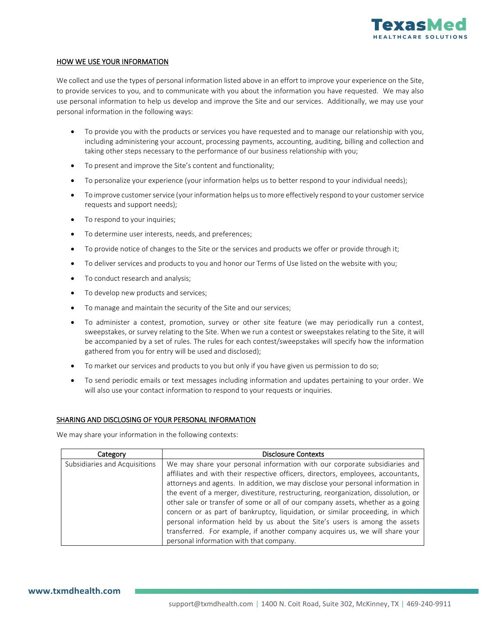

#### HOW WE USE YOUR INFORMATION

We collect and use the types of personal information listed above in an effort to improve your experience on the Site, to provide services to you, and to communicate with you about the information you have requested. We may also use personal information to help us develop and improve the Site and our services. Additionally, we may use your personal information in the following ways:

- To provide you with the products or services you have requested and to manage our relationship with you, including administering your account, processing payments, accounting, auditing, billing and collection and taking other steps necessary to the performance of our business relationship with you;
- To present and improve the Site's content and functionality;
- To personalize your experience (your information helps us to better respond to your individual needs);
- To improve customer service (your information helps us to more effectively respond to your customer service requests and support needs);
- To respond to your inquiries;
- To determine user interests, needs, and preferences;
- To provide notice of changes to the Site or the services and products we offer or provide through it;
- To deliver services and products to you and honor our Terms of Use listed on the website with you;
- To conduct research and analysis;
- To develop new products and services;
- To manage and maintain the security of the Site and our services;
- To administer a contest, promotion, survey or other site feature (we may periodically run a contest, sweepstakes, or survey relating to the Site. When we run a contest or sweepstakes relating to the Site, it will be accompanied by a set of rules. The rules for each contest/sweepstakes will specify how the information gathered from you for entry will be used and disclosed);
- To market our services and products to you but only if you have given us permission to do so;
- To send periodic emails or text messages including information and updates pertaining to your order. We will also use your contact information to respond to your requests or inquiries.

#### SHARING AND DISCLOSING OF YOUR PERSONAL INFORMATION

We may share your information in the following contexts:

| Category                      | <b>Disclosure Contexts</b>                                                         |
|-------------------------------|------------------------------------------------------------------------------------|
| Subsidiaries and Acquisitions | We may share your personal information with our corporate subsidiaries and         |
|                               | affiliates and with their respective officers, directors, employees, accountants,  |
|                               | attorneys and agents. In addition, we may disclose your personal information in    |
|                               | the event of a merger, divestiture, restructuring, reorganization, dissolution, or |
|                               | other sale or transfer of some or all of our company assets, whether as a going    |
|                               | concern or as part of bankruptcy, liquidation, or similar proceeding, in which     |
|                               | personal information held by us about the Site's users is among the assets         |
|                               | transferred. For example, if another company acquires us, we will share your       |
|                               | personal information with that company.                                            |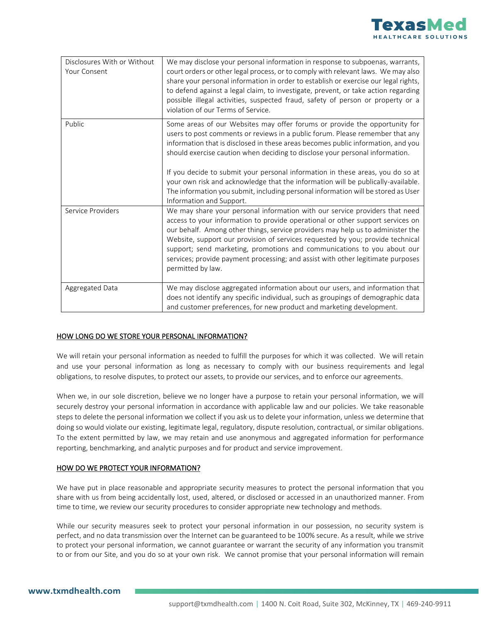

| Disclosures With or Without<br>Your Consent | We may disclose your personal information in response to subpoenas, warrants,<br>court orders or other legal process, or to comply with relevant laws. We may also<br>share your personal information in order to establish or exercise our legal rights,<br>to defend against a legal claim, to investigate, prevent, or take action regarding<br>possible illegal activities, suspected fraud, safety of person or property or a<br>violation of our Terms of Service.                                                                                                                                               |
|---------------------------------------------|------------------------------------------------------------------------------------------------------------------------------------------------------------------------------------------------------------------------------------------------------------------------------------------------------------------------------------------------------------------------------------------------------------------------------------------------------------------------------------------------------------------------------------------------------------------------------------------------------------------------|
| Public                                      | Some areas of our Websites may offer forums or provide the opportunity for<br>users to post comments or reviews in a public forum. Please remember that any<br>information that is disclosed in these areas becomes public information, and you<br>should exercise caution when deciding to disclose your personal information.<br>If you decide to submit your personal information in these areas, you do so at<br>your own risk and acknowledge that the information will be publically-available.<br>The information you submit, including personal information will be stored as User<br>Information and Support. |
| Service Providers                           | We may share your personal information with our service providers that need<br>access to your information to provide operational or other support services on<br>our behalf. Among other things, service providers may help us to administer the<br>Website, support our provision of services requested by you; provide technical<br>support; send marketing, promotions and communications to you about our<br>services; provide payment processing; and assist with other legitimate purposes<br>permitted by law.                                                                                                  |
| Aggregated Data                             | We may disclose aggregated information about our users, and information that<br>does not identify any specific individual, such as groupings of demographic data<br>and customer preferences, for new product and marketing development.                                                                                                                                                                                                                                                                                                                                                                               |

#### HOW LONG DO WE STORE YOUR PERSONAL INFORMATION?

We will retain your personal information as needed to fulfill the purposes for which it was collected. We will retain and use your personal information as long as necessary to comply with our business requirements and legal obligations, to resolve disputes, to protect our assets, to provide our services, and to enforce our agreements.

When we, in our sole discretion, believe we no longer have a purpose to retain your personal information, we will securely destroy your personal information in accordance with applicable law and our policies. We take reasonable steps to delete the personal information we collect if you ask us to delete your information, unless we determine that doing so would violate our existing, legitimate legal, regulatory, dispute resolution, contractual, or similar obligations. To the extent permitted by law, we may retain and use anonymous and aggregated information for performance reporting, benchmarking, and analytic purposes and for product and service improvement.

#### HOW DO WE PROTECT YOUR INFORMATION?

We have put in place reasonable and appropriate security measures to protect the personal information that you share with us from being accidentally lost, used, altered, or disclosed or accessed in an unauthorized manner. From time to time, we review our security procedures to consider appropriate new technology and methods.

While our security measures seek to protect your personal information in our possession, no security system is perfect, and no data transmission over the Internet can be guaranteed to be 100% secure. As a result, while we strive to protect your personal information, we cannot guarantee or warrant the security of any information you transmit to or from our Site, and you do so at your own risk. We cannot promise that your personal information will remain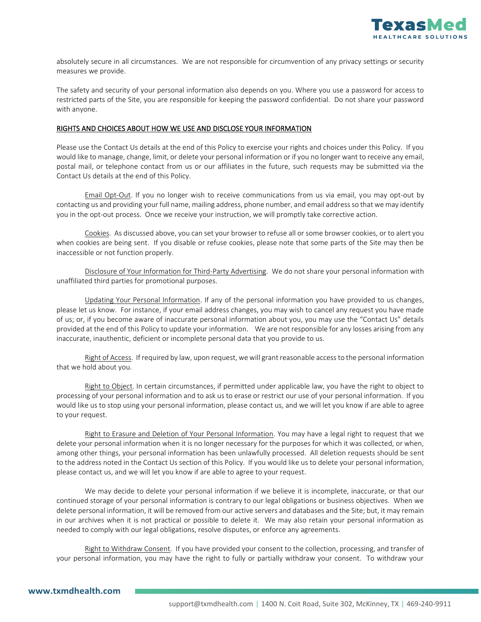

absolutely secure in all circumstances. We are not responsible for circumvention of any privacy settings or security measures we provide.

The safety and security of your personal information also depends on you. Where you use a password for access to restricted parts of the Site, you are responsible for keeping the password confidential. Do not share your password with anyone.

#### RIGHTS AND CHOICES ABOUT HOW WE USE AND DISCLOSE YOUR INFORMATION

Please use the Contact Us details at the end of this Policy to exercise your rights and choices under this Policy. If you would like to manage, change, limit, or delete your personal information or if you no longer want to receive any email, postal mail, or telephone contact from us or our affiliates in the future, such requests may be submitted via the Contact Us details at the end of this Policy.

Email Opt-Out. If you no longer wish to receive communications from us via email, you may opt-out by contacting us and providing your full name, mailing address, phone number, and email address so that we may identify you in the opt-out process. Once we receive your instruction, we will promptly take corrective action.

Cookies. As discussed above, you can set your browser to refuse all or some browser cookies, or to alert you when cookies are being sent. If you disable or refuse cookies, please note that some parts of the Site may then be inaccessible or not function properly.

Disclosure of Your Information for Third-Party Advertising. We do not share your personal information with unaffiliated third parties for promotional purposes.

Updating Your Personal Information. If any of the personal information you have provided to us changes, please let us know. For instance, if your email address changes, you may wish to cancel any request you have made of us; or, if you become aware of inaccurate personal information about you, you may use the "Contact Us" details provided at the end of this Policy to update your information. We are not responsible for any losses arising from any inaccurate, inauthentic, deficient or incomplete personal data that you provide to us.

Right of Access. If required by law, upon request, we will grant reasonable access to the personal information that we hold about you.

Right to Object. In certain circumstances, if permitted under applicable law, you have the right to object to processing of your personal information and to ask us to erase or restrict our use of your personal information. If you would like us to stop using your personal information, please contact us, and we will let you know if are able to agree to your request.

Right to Erasure and Deletion of Your Personal Information. You may have a legal right to request that we delete your personal information when it is no longer necessary for the purposes for which it was collected, or when, among other things, your personal information has been unlawfully processed. All deletion requests should be sent to the address noted in the Contact Us section of this Policy. If you would like us to delete your personal information, please contact us, and we will let you know if are able to agree to your request.

We may decide to delete your personal information if we believe it is incomplete, inaccurate, or that our continued storage of your personal information is contrary to our legal obligations or business objectives. When we delete personal information, it will be removed from our active servers and databases and the Site; but, it may remain in our archives when it is not practical or possible to delete it. We may also retain your personal information as needed to comply with our legal obligations, resolve disputes, or enforce any agreements.

Right to Withdraw Consent. If you have provided your consent to the collection, processing, and transfer of your personal information, you may have the right to fully or partially withdraw your consent. To withdraw your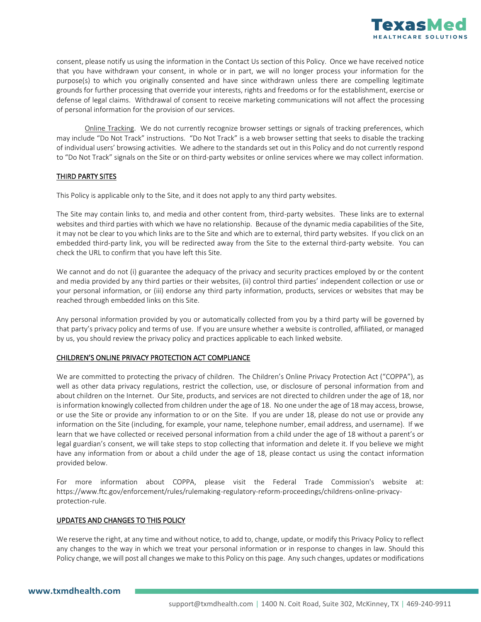

consent, please notify us using the information in the Contact Us section of this Policy. Once we have received notice that you have withdrawn your consent, in whole or in part, we will no longer process your information for the purpose(s) to which you originally consented and have since withdrawn unless there are compelling legitimate grounds for further processing that override your interests, rights and freedoms or for the establishment, exercise or defense of legal claims. Withdrawal of consent to receive marketing communications will not affect the processing of personal information for the provision of our services.

Online Tracking. We do not currently recognize browser settings or signals of tracking preferences, which may include "Do Not Track" instructions. "Do Not Track" is a web browser setting that seeks to disable the tracking of individual users' browsing activities. We adhere to the standards set out in this Policy and do not currently respond to "Do Not Track" signals on the Site or on third-party websites or online services where we may collect information.

#### THIRD PARTY SITES

This Policy is applicable only to the Site, and it does not apply to any third party websites.

The Site may contain links to, and media and other content from, third-party websites. These links are to external websites and third parties with which we have no relationship. Because of the dynamic media capabilities of the Site, it may not be clear to you which links are to the Site and which are to external, third party websites. If you click on an embedded third-party link, you will be redirected away from the Site to the external third-party website. You can check the URL to confirm that you have left this Site.

We cannot and do not (i) guarantee the adequacy of the privacy and security practices employed by or the content and media provided by any third parties or their websites, (ii) control third parties' independent collection or use or your personal information, or (iii) endorse any third party information, products, services or websites that may be reached through embedded links on this Site.

Any personal information provided by you or automatically collected from you by a third party will be governed by that party's privacy policy and terms of use. If you are unsure whether a website is controlled, affiliated, or managed by us, you should review the privacy policy and practices applicable to each linked website.

#### CHILDREN'S ONLINE PRIVACY PROTECTION ACT COMPLIANCE

We are committed to protecting the privacy of children. The Children's Online Privacy Protection Act ("COPPA"), as well as other data privacy regulations, restrict the collection, use, or disclosure of personal information from and about children on the Internet. Our Site, products, and services are not directed to children under the age of 18, nor is information knowingly collected from children under the age of 18. No one under the age of 18 may access, browse, or use the Site or provide any information to or on the Site. If you are under 18, please do not use or provide any information on the Site (including, for example, your name, telephone number, email address, and username). If we learn that we have collected or received personal information from a child under the age of 18 without a parent's or legal guardian's consent, we will take steps to stop collecting that information and delete it. If you believe we might have any information from or about a child under the age of 18, please contact us using the contact information provided below.

For more information about COPPA, please visit the Federal Trade Commission's website at: https://www.ftc.gov/enforcement/rules/rulemaking-regulatory-reform-proceedings/childrens-online-privacyprotection-rule.

#### UPDATES AND CHANGES TO THIS POLICY

We reserve the right, at any time and without notice, to add to, change, update, or modify this Privacy Policy to reflect any changes to the way in which we treat your personal information or in response to changes in law. Should this Policy change, we will post all changes we make to this Policy on this page. Any such changes, updates or modifications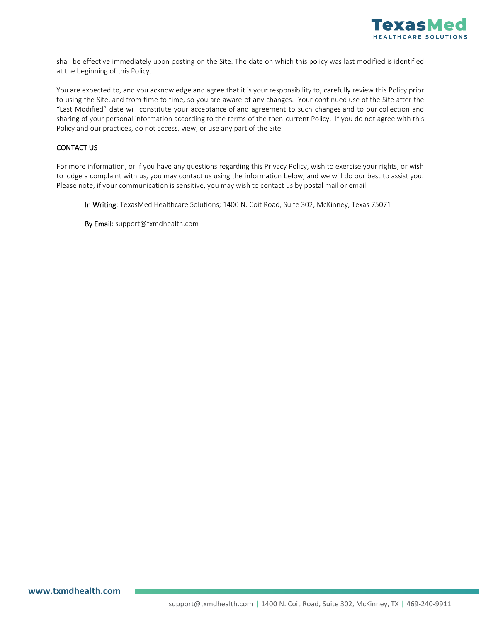

shall be effective immediately upon posting on the Site. The date on which this policy was last modified is identified at the beginning of this Policy.

You are expected to, and you acknowledge and agree that it is your responsibility to, carefully review this Policy prior to using the Site, and from time to time, so you are aware of any changes. Your continued use of the Site after the "Last Modified" date will constitute your acceptance of and agreement to such changes and to our collection and sharing of your personal information according to the terms of the then-current Policy. If you do not agree with this Policy and our practices, do not access, view, or use any part of the Site.

#### CONTACT US

For more information, or if you have any questions regarding this Privacy Policy, wish to exercise your rights, or wish to lodge a complaint with us, you may contact us using the information below, and we will do our best to assist you. Please note, if your communication is sensitive, you may wish to contact us by postal mail or email.

In Writing: TexasMed Healthcare Solutions; 1400 N. Coit Road, Suite 302, McKinney, Texas 75071

By Email: support@txmdhealth.com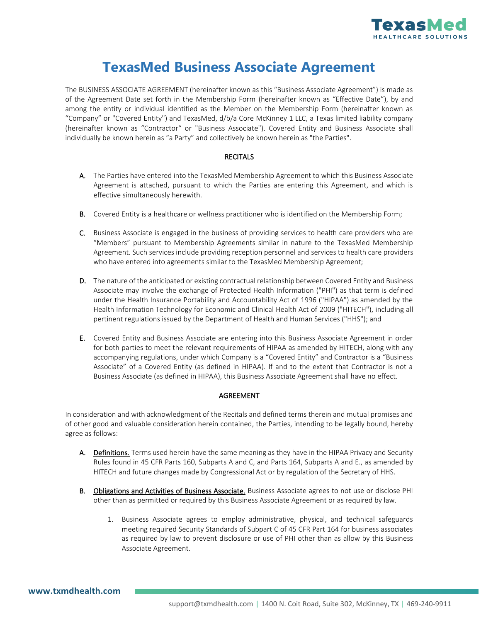

## **TexasMed Business Associate Agreement**

The BUSINESS ASSOCIATE AGREEMENT (hereinafter known as this "Business Associate Agreement") is made as of the Agreement Date set forth in the Membership Form (hereinafter known as "Effective Date"), by and among the entity or individual identified as the Member on the Membership Form (hereinafter known as "Company" or "Covered Entity") and TexasMed, d/b/a Core McKinney 1 LLC, a Texas limited liability company (hereinafter known as "Contractor" or "Business Associate"). Covered Entity and Business Associate shall individually be known herein as "a Party" and collectively be known herein as "the Parties".

#### **RECITALS**

- A. The Parties have entered into the TexasMed Membership Agreement to which this Business Associate Agreement is attached, pursuant to which the Parties are entering this Agreement, and which is effective simultaneously herewith.
- B. Covered Entity is a healthcare or wellness practitioner who is identified on the Membership Form;
- C. Business Associate is engaged in the business of providing services to health care providers who are "Members" pursuant to Membership Agreements similar in nature to the TexasMed Membership Agreement. Such services include providing reception personnel and services to health care providers who have entered into agreements similar to the TexasMed Membership Agreement;
- D. The nature of the anticipated or existing contractual relationship between Covered Entity and Business Associate may involve the exchange of Protected Health Information ("PHI") as that term is defined under the Health Insurance Portability and Accountability Act of 1996 ("HIPAA") as amended by the Health Information Technology for Economic and Clinical Health Act of 2009 ("HITECH"), including all pertinent regulations issued by the Department of Health and Human Services ("HHS"); and
- E. Covered Entity and Business Associate are entering into this Business Associate Agreement in order for both parties to meet the relevant requirements of HIPAA as amended by HITECH, along with any accompanying regulations, under which Company is a "Covered Entity" and Contractor is a "Business Associate" of a Covered Entity (as defined in HIPAA). If and to the extent that Contractor is not a Business Associate (as defined in HIPAA), this Business Associate Agreement shall have no effect.

#### AGREEMENT

In consideration and with acknowledgment of the Recitals and defined terms therein and mutual promises and of other good and valuable consideration herein contained, the Parties, intending to be legally bound, hereby agree as follows:

- A. Definitions. Terms used herein have the same meaning as they have in the HIPAA Privacy and Security Rules found in 45 CFR Parts 160, Subparts A and C, and Parts 164, Subparts A and E., as amended by HITECH and future changes made by Congressional Act or by regulation of the Secretary of HHS.
- B. Obligations and Activities of Business Associate. Business Associate agrees to not use or disclose PHI other than as permitted or required by this Business Associate Agreement or as required by law.
	- 1. Business Associate agrees to employ administrative, physical, and technical safeguards meeting required Security Standards of Subpart C of 45 CFR Part 164 for business associates as required by law to prevent disclosure or use of PHI other than as allow by this Business Associate Agreement.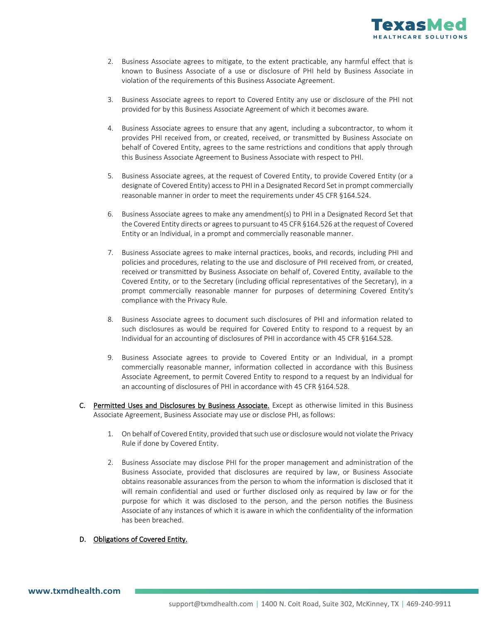

- 2. Business Associate agrees to mitigate, to the extent practicable, any harmful effect that is known to Business Associate of a use or disclosure of PHI held by Business Associate in violation of the requirements of this Business Associate Agreement.
- 3. Business Associate agrees to report to Covered Entity any use or disclosure of the PHI not provided for by this Business Associate Agreement of which it becomes aware.
- 4. Business Associate agrees to ensure that any agent, including a subcontractor, to whom it provides PHI received from, or created, received, or transmitted by Business Associate on behalf of Covered Entity, agrees to the same restrictions and conditions that apply through this Business Associate Agreement to Business Associate with respect to PHI.
- 5. Business Associate agrees, at the request of Covered Entity, to provide Covered Entity (or a designate of Covered Entity) access to PHI in a Designated Record Set in prompt commercially reasonable manner in order to meet the requirements under 45 CFR §164.524.
- 6. Business Associate agrees to make any amendment(s) to PHI in a Designated Record Set that the Covered Entity directs or agrees to pursuant to 45 CFR §164.526 at the request of Covered Entity or an Individual, in a prompt and commercially reasonable manner.
- 7. Business Associate agrees to make internal practices, books, and records, including PHI and policies and procedures, relating to the use and disclosure of PHI received from, or created, received or transmitted by Business Associate on behalf of, Covered Entity, available to the Covered Entity, or to the Secretary (including official representatives of the Secretary), in a prompt commercially reasonable manner for purposes of determining Covered Entity's compliance with the Privacy Rule.
- 8. Business Associate agrees to document such disclosures of PHI and information related to such disclosures as would be required for Covered Entity to respond to a request by an Individual for an accounting of disclosures of PHI in accordance with 45 CFR §164.528.
- 9. Business Associate agrees to provide to Covered Entity or an Individual, in a prompt commercially reasonable manner, information collected in accordance with this Business Associate Agreement, to permit Covered Entity to respond to a request by an Individual for an accounting of disclosures of PHI in accordance with 45 CFR §164.528.
- C. Permitted Uses and Disclosures by Business Associate. Except as otherwise limited in this Business Associate Agreement, Business Associate may use or disclose PHI, as follows:
	- 1. On behalf of Covered Entity, provided that such use or disclosure would not violate the Privacy Rule if done by Covered Entity.
	- 2. Business Associate may disclose PHI for the proper management and administration of the Business Associate, provided that disclosures are required by law, or Business Associate obtains reasonable assurances from the person to whom the information is disclosed that it will remain confidential and used or further disclosed only as required by law or for the purpose for which it was disclosed to the person, and the person notifies the Business Associate of any instances of which it is aware in which the confidentiality of the information has been breached.

#### D. Obligations of Covered Entity.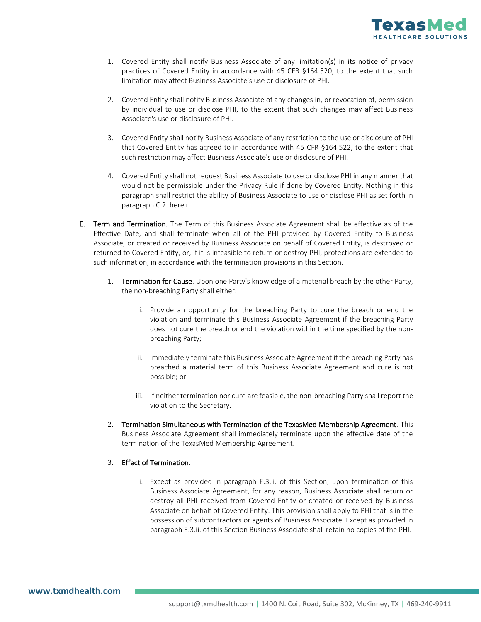

- 1. Covered Entity shall notify Business Associate of any limitation(s) in its notice of privacy practices of Covered Entity in accordance with 45 CFR §164.520, to the extent that such limitation may affect Business Associate's use or disclosure of PHI.
- 2. Covered Entity shall notify Business Associate of any changes in, or revocation of, permission by individual to use or disclose PHI, to the extent that such changes may affect Business Associate's use or disclosure of PHI.
- 3. Covered Entity shall notify Business Associate of any restriction to the use or disclosure of PHI that Covered Entity has agreed to in accordance with 45 CFR §164.522, to the extent that such restriction may affect Business Associate's use or disclosure of PHI.
- 4. Covered Entity shall not request Business Associate to use or disclose PHI in any manner that would not be permissible under the Privacy Rule if done by Covered Entity. Nothing in this paragraph shall restrict the ability of Business Associate to use or disclose PHI as set forth in paragraph C.2. herein.
- E. Term and Termination. The Term of this Business Associate Agreement shall be effective as of the Effective Date, and shall terminate when all of the PHI provided by Covered Entity to Business Associate, or created or received by Business Associate on behalf of Covered Entity, is destroyed or returned to Covered Entity, or, if it is infeasible to return or destroy PHI, protections are extended to such information, in accordance with the termination provisions in this Section.
	- 1. Termination for Cause. Upon one Party's knowledge of a material breach by the other Party, the non-breaching Party shall either:
		- i. Provide an opportunity for the breaching Party to cure the breach or end the violation and terminate this Business Associate Agreement if the breaching Party does not cure the breach or end the violation within the time specified by the nonbreaching Party;
		- ii. Immediately terminate this Business Associate Agreement if the breaching Party has breached a material term of this Business Associate Agreement and cure is not possible; or
		- iii. If neither termination nor cure are feasible, the non-breaching Party shall report the violation to the Secretary.
	- 2. Termination Simultaneous with Termination of the TexasMed Membership Agreement. This Business Associate Agreement shall immediately terminate upon the effective date of the termination of the TexasMed Membership Agreement.

#### 3. Effect of Termination.

i. Except as provided in paragraph E.3.ii. of this Section, upon termination of this Business Associate Agreement, for any reason, Business Associate shall return or destroy all PHI received from Covered Entity or created or received by Business Associate on behalf of Covered Entity. This provision shall apply to PHI that is in the possession of subcontractors or agents of Business Associate. Except as provided in paragraph E.3.ii. of this Section Business Associate shall retain no copies of the PHI.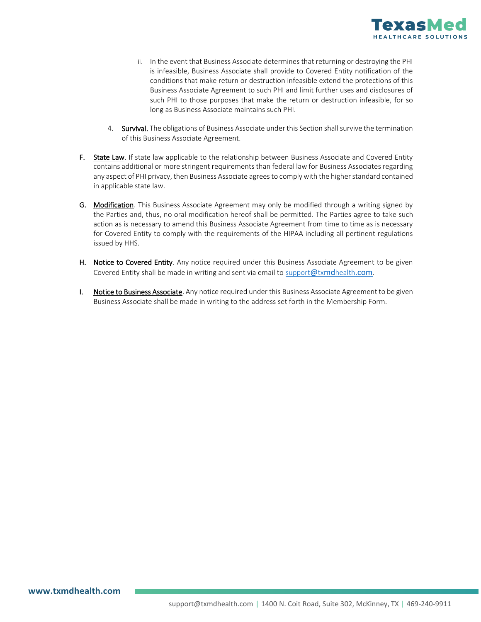

- ii. In the event that Business Associate determines that returning or destroying the PHI is infeasible, Business Associate shall provide to Covered Entity notification of the conditions that make return or destruction infeasible extend the protections of this Business Associate Agreement to such PHI and limit further uses and disclosures of such PHI to those purposes that make the return or destruction infeasible, for so long as Business Associate maintains such PHI.
- 4. Survival. The obligations of Business Associate under this Section shall survive the termination of this Business Associate Agreement.
- F. State Law. If state law applicable to the relationship between Business Associate and Covered Entity contains additional or more stringent requirements than federal law for Business Associates regarding any aspect of PHI privacy, then Business Associate agrees to comply with the higher standard contained in applicable state law.
- G. Modification. This Business Associate Agreement may only be modified through a writing signed by the Parties and, thus, no oral modification hereof shall be permitted. The Parties agree to take such action as is necessary to amend this Business Associate Agreement from time to time as is necessary for Covered Entity to comply with the requirements of the HIPAA including all pertinent regulations issued by HHS.
- H. Notice to Covered Entity. Any notice required under this Business Associate Agreement to be given Covered Entity shall be made in writing and sent via email t[o support](mailto:support@txmdhealth.com)@txmdhealth[.com](mailto:support@txmdhealth.com).
- I. Notice to Business Associate. Any notice required under this Business Associate Agreement to be given Business Associate shall be made in writing to the address set forth in the Membership Form.